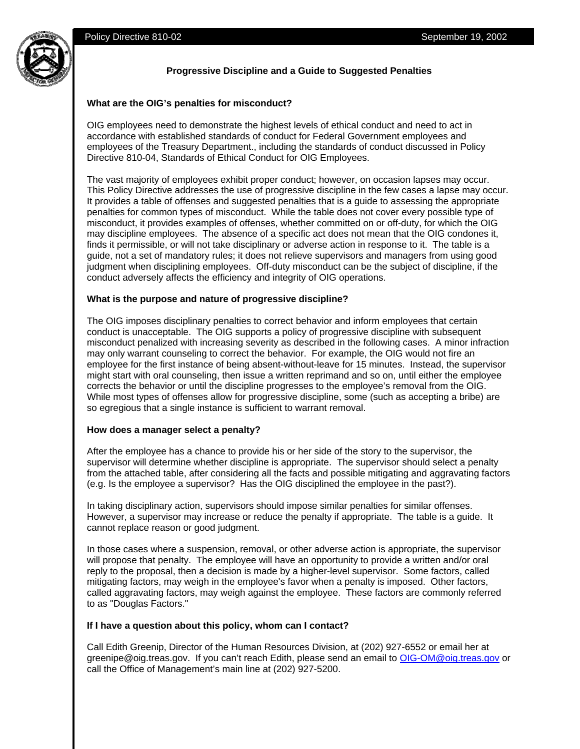

## **Progressive Discipline and a Guide to Suggested Penalties**

#### **What are the OIG's penalties for misconduct?**

OIG employees need to demonstrate the highest levels of ethical conduct and need to act in accordance with established standards of conduct for Federal Government employees and employees of the Treasury Department., including the standards of conduct discussed in Policy Directive 810-04, Standards of Ethical Conduct for OIG Employees.

The vast majority of employees exhibit proper conduct; however, on occasion lapses may occur. This Policy Directive addresses the use of progressive discipline in the few cases a lapse may occur. It provides a table of offenses and suggested penalties that is a guide to assessing the appropriate penalties for common types of misconduct. While the table does not cover every possible type of misconduct, it provides examples of offenses, whether committed on or off-duty, for which the OIG may discipline employees. The absence of a specific act does not mean that the OIG condones it, finds it permissible, or will not take disciplinary or adverse action in response to it. The table is a guide, not a set of mandatory rules; it does not relieve supervisors and managers from using good judgment when disciplining employees. Off-duty misconduct can be the subject of discipline, if the conduct adversely affects the efficiency and integrity of OIG operations.

### **What is the purpose and nature of progressive discipline?**

The OIG imposes disciplinary penalties to correct behavior and inform employees that certain conduct is unacceptable. The OIG supports a policy of progressive discipline with subsequent misconduct penalized with increasing severity as described in the following cases. A minor infraction may only warrant counseling to correct the behavior. For example, the OIG would not fire an employee for the first instance of being absent-without-leave for 15 minutes. Instead, the supervisor might start with oral counseling, then issue a written reprimand and so on, until either the employee corrects the behavior or until the discipline progresses to the employee's removal from the OIG. While most types of offenses allow for progressive discipline, some (such as accepting a bribe) are so egregious that a single instance is sufficient to warrant removal.

#### **How does a manager select a penalty?**

After the employee has a chance to provide his or her side of the story to the supervisor, the supervisor will determine whether discipline is appropriate. The supervisor should select a penalty from the attached table, after considering all the facts and possible mitigating and aggravating factors (e.g. Is the employee a supervisor? Has the OIG disciplined the employee in the past?).

In taking disciplinary action, supervisors should impose similar penalties for similar offenses. However, a supervisor may increase or reduce the penalty if appropriate. The table is a guide. It cannot replace reason or good judgment.

In those cases where a suspension, removal, or other adverse action is appropriate, the supervisor will propose that penalty. The employee will have an opportunity to provide a written and/or oral reply to the proposal, then a decision is made by a higher-level supervisor. Some factors, called mitigating factors, may weigh in the employee's favor when a penalty is imposed. Other factors, called aggravating factors, may weigh against the employee. These factors are commonly referred to as "Douglas Factors."

#### **If I have a question about this policy, whom can I contact?**

Call Edith Greenip, Director of the Human Resources Division, at (202) 927-6552 or email her at greenipe@oig.treas.gov. If you can't reach Edith, please send an email to OIG-OM@oig.treas.gov or call the Office of Management's main line at (202) 927-5200.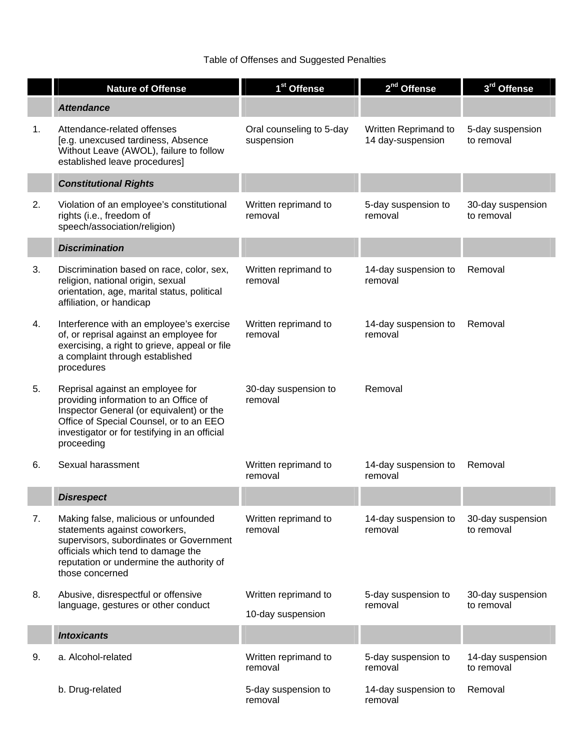# Table of Offenses and Suggested Penalties

|    | <b>Nature of Offense</b>                                                                                                                                                                                                        | 1 <sup>st</sup> Offense                   | 2 <sup>nd</sup> Offense                   | 3 <sup>rd</sup> Offense         |
|----|---------------------------------------------------------------------------------------------------------------------------------------------------------------------------------------------------------------------------------|-------------------------------------------|-------------------------------------------|---------------------------------|
|    | <b>Attendance</b>                                                                                                                                                                                                               |                                           |                                           |                                 |
| 1. | Attendance-related offenses<br>[e.g. unexcused tardiness, Absence<br>Without Leave (AWOL), failure to follow<br>established leave procedures]                                                                                   | Oral counseling to 5-day<br>suspension    | Written Reprimand to<br>14 day-suspension | 5-day suspension<br>to removal  |
|    | <b>Constitutional Rights</b>                                                                                                                                                                                                    |                                           |                                           |                                 |
| 2. | Violation of an employee's constitutional<br>rights (i.e., freedom of<br>speech/association/religion)                                                                                                                           | Written reprimand to<br>removal           | 5-day suspension to<br>removal            | 30-day suspension<br>to removal |
|    | <b>Discrimination</b>                                                                                                                                                                                                           |                                           |                                           |                                 |
| 3. | Discrimination based on race, color, sex,<br>religion, national origin, sexual<br>orientation, age, marital status, political<br>affiliation, or handicap                                                                       | Written reprimand to<br>removal           | 14-day suspension to<br>removal           | Removal                         |
| 4. | Interference with an employee's exercise<br>of, or reprisal against an employee for<br>exercising, a right to grieve, appeal or file<br>a complaint through established<br>procedures                                           | Written reprimand to<br>removal           | 14-day suspension to<br>removal           | Removal                         |
| 5. | Reprisal against an employee for<br>providing information to an Office of<br>Inspector General (or equivalent) or the<br>Office of Special Counsel, or to an EEO<br>investigator or for testifying in an official<br>proceeding | 30-day suspension to<br>removal           | Removal                                   |                                 |
| 6. | Sexual harassment                                                                                                                                                                                                               | Written reprimand to<br>removal           | 14-day suspension to<br>removal           | Removal                         |
|    | <b>Disrespect</b>                                                                                                                                                                                                               |                                           |                                           |                                 |
| 7. | Making false, malicious or unfounded<br>statements against coworkers,<br>supervisors, subordinates or Government<br>officials which tend to damage the<br>reputation or undermine the authority of<br>those concerned           | Written reprimand to<br>removal           | 14-day suspension to<br>removal           | 30-day suspension<br>to removal |
| 8. | Abusive, disrespectful or offensive<br>language, gestures or other conduct                                                                                                                                                      | Written reprimand to<br>10-day suspension | 5-day suspension to<br>removal            | 30-day suspension<br>to removal |
|    | <b>Intoxicants</b>                                                                                                                                                                                                              |                                           |                                           |                                 |
| 9. | a. Alcohol-related                                                                                                                                                                                                              | Written reprimand to<br>removal           | 5-day suspension to<br>removal            | 14-day suspension<br>to removal |
|    | b. Drug-related                                                                                                                                                                                                                 | 5-day suspension to<br>removal            | 14-day suspension to<br>removal           | Removal                         |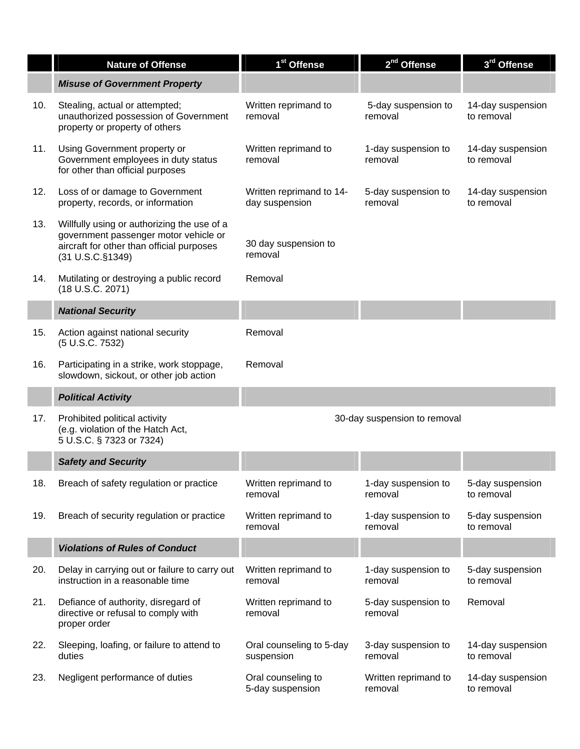|     | <b>Nature of Offense</b>                                                                                                                              | 1 <sup>st</sup> Offense                    | 2 <sup>nd</sup> Offense         | 3 <sup>rd</sup> Offense         |
|-----|-------------------------------------------------------------------------------------------------------------------------------------------------------|--------------------------------------------|---------------------------------|---------------------------------|
|     | <b>Misuse of Government Property</b>                                                                                                                  |                                            |                                 |                                 |
| 10. | Stealing, actual or attempted;<br>unauthorized possession of Government<br>property or property of others                                             | Written reprimand to<br>removal            | 5-day suspension to<br>removal  | 14-day suspension<br>to removal |
| 11. | Using Government property or<br>Government employees in duty status<br>for other than official purposes                                               | Written reprimand to<br>removal            | 1-day suspension to<br>removal  | 14-day suspension<br>to removal |
| 12. | Loss of or damage to Government<br>property, records, or information                                                                                  | Written reprimand to 14-<br>day suspension | 5-day suspension to<br>removal  | 14-day suspension<br>to removal |
| 13. | Willfully using or authorizing the use of a<br>government passenger motor vehicle or<br>aircraft for other than official purposes<br>(31 U.S.C.§1349) | 30 day suspension to<br>removal            |                                 |                                 |
| 14. | Mutilating or destroying a public record<br>(18 U.S.C. 2071)                                                                                          | Removal                                    |                                 |                                 |
|     | <b>National Security</b>                                                                                                                              |                                            |                                 |                                 |
| 15. | Action against national security<br>(5 U.S.C. 7532)                                                                                                   | Removal                                    |                                 |                                 |
| 16. | Participating in a strike, work stoppage,<br>slowdown, sickout, or other job action                                                                   | Removal                                    |                                 |                                 |
|     | <b>Political Activity</b>                                                                                                                             |                                            |                                 |                                 |
| 17. | Prohibited political activity<br>(e.g. violation of the Hatch Act,<br>5 U.S.C. § 7323 or 7324)                                                        |                                            | 30-day suspension to removal    |                                 |
|     | <b>Safety and Security</b>                                                                                                                            |                                            |                                 |                                 |
| 18. | Breach of safety regulation or practice                                                                                                               | Written reprimand to<br>removal            | 1-day suspension to<br>removal  | 5-day suspension<br>to removal  |
| 19. | Breach of security regulation or practice                                                                                                             | Written reprimand to<br>removal            | 1-day suspension to<br>removal  | 5-day suspension<br>to removal  |
|     | <b>Violations of Rules of Conduct</b>                                                                                                                 |                                            |                                 |                                 |
| 20. | Delay in carrying out or failure to carry out<br>instruction in a reasonable time                                                                     | Written reprimand to<br>removal            | 1-day suspension to<br>removal  | 5-day suspension<br>to removal  |
| 21. | Defiance of authority, disregard of<br>directive or refusal to comply with<br>proper order                                                            | Written reprimand to<br>removal            | 5-day suspension to<br>removal  | Removal                         |
| 22. | Sleeping, loafing, or failure to attend to<br>duties                                                                                                  | Oral counseling to 5-day<br>suspension     | 3-day suspension to<br>removal  | 14-day suspension<br>to removal |
| 23. | Negligent performance of duties                                                                                                                       | Oral counseling to<br>5-day suspension     | Written reprimand to<br>removal | 14-day suspension<br>to removal |